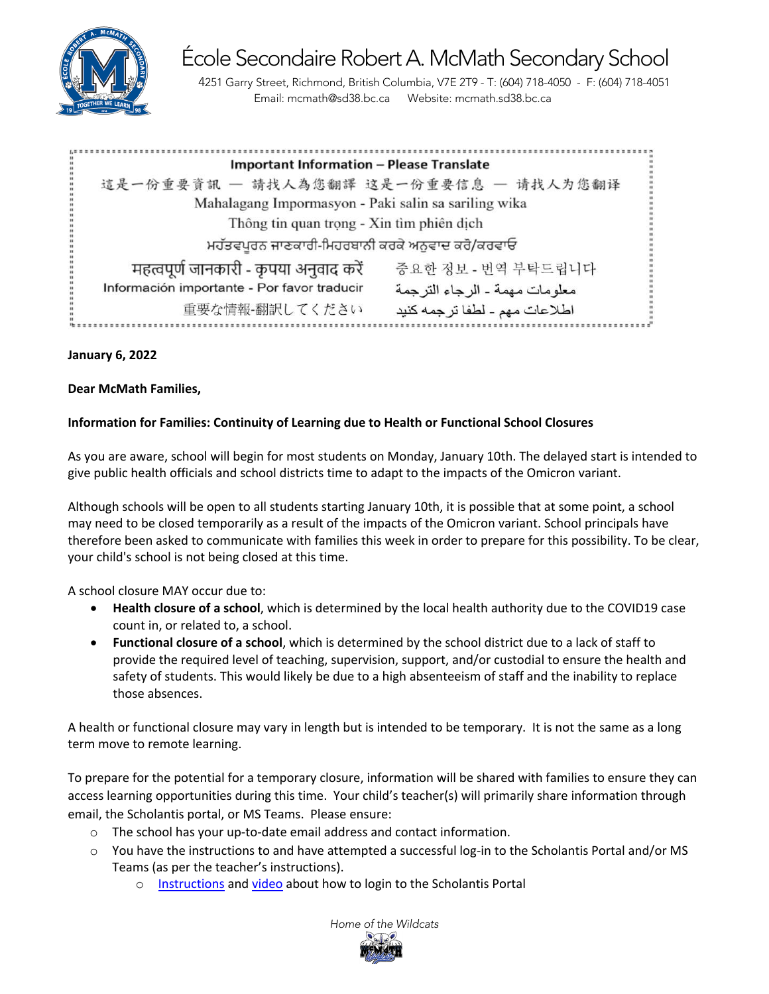

École Secondaire Robert A. McMath Secondary School 4251 Garry Street, Richmond, British Columbia, V7E 2T9 - T: (604) 718-4050 - F: (604) 718-4051

Email: mcmath@sd38.bc.ca Website: mcmath.sd38.bc.ca

| <b>Important Information - Please Translate</b>                                 |  |
|---------------------------------------------------------------------------------|--|
| 這是一份重要資訊 一 請找人為您翻譯 这是一份重要信息 一 请找人为您翻译                                           |  |
| Mahalagang Impormasyon - Paki salin sa sariling wika                            |  |
| Thông tin quan trọng - Xin tìm phiên dịch                                       |  |
| ਮਹੱਤਵਪੂਰਨ ਜਾਣਕਾਰੀ-ਮਿਹਰਬਾਨੀ ਕਰਕੇ ਅਨੁਵਾਦ ਕਰੋ/ਕਰਵਾਓ                                |  |
| महत्वपूर्ण जानकारी - कृपया अनुवाद करें<br>중요한 정보 - 번역 부탁드립니다                    |  |
| Información importante - Por favor traducir<br>معلو مات مهمة ـ الر جاء التر جمة |  |
| 重要な情報-翻訳してください<br>اطلاعات مهم - لطفا ترجمه كنيد                                 |  |

## **January 6, 2022**

## **Dear McMath Families,**

## **Information for Families: Continuity of Learning due to Health or Functional School Closures**

As you are aware, school will begin for most students on Monday, January 10th. The delayed start is intended to give public health officials and school districts time to adapt to the impacts of the Omicron variant.

Although schools will be open to all students starting January 10th, it is possible that at some point, a school may need to be closed temporarily as a result of the impacts of the Omicron variant. School principals have therefore been asked to communicate with families this week in order to prepare for this possibility. To be clear, your child's school is not being closed at this time.

A school closure MAY occur due to:

- **Health closure of a school**, which is determined by the local health authority due to the COVID19 case count in, or related to, a school.
- **Functional closure of a school**, which is determined by the school district due to a lack of staff to provide the required level of teaching, supervision, support, and/or custodial to ensure the health and safety of students. This would likely be due to a high absenteeism of staff and the inability to replace those absences.

A health or functional closure may vary in length but is intended to be temporary. It is not the same as a long term move to remote learning.

To prepare for the potential for a temporary closure, information will be shared with families to ensure they can access learning opportunities during this time. Your child's teacher(s) will primarily share information through email, the Scholantis portal, or MS Teams. Please ensure:

- o The school has your up-to-date email address and contact information.
- $\circ$  You have the instructions to and have attempted a successful log-in to the Scholantis Portal and/or MS Teams (as per the teacher's instructions).
	- o [Instructions](https://mcmath.sd38.bc.ca/sites/mcmath.sd38.bc.ca/files/attachments/Thu%2C%202022-01-06%2019%3A17/How%20to%20Login%20to%20Scholantis.pdf) an[d video](https://www.youtube.com/watch?v=U4I3NhWGuxY&ab_channel=TNgo) about how to login to the Scholantis Portal